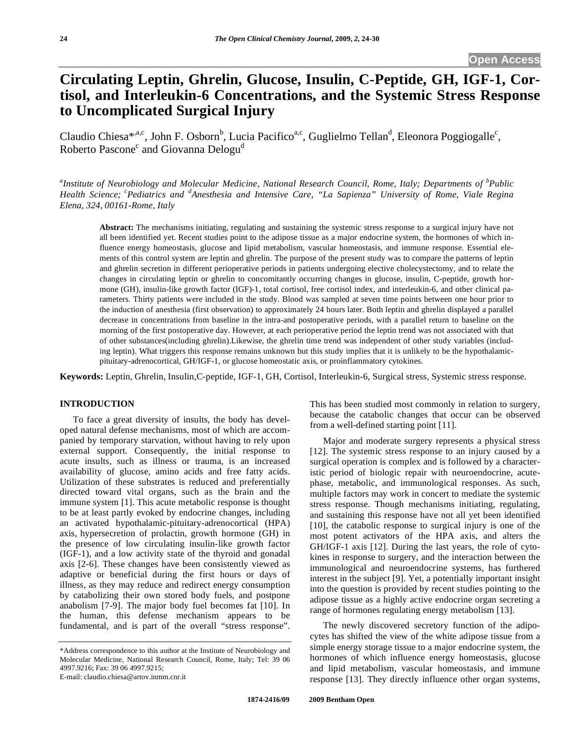# **Circulating Leptin, Ghrelin, Glucose, Insulin, C-Peptide, GH, IGF-1, Cortisol, and Interleukin-6 Concentrations, and the Systemic Stress Response to Uncomplicated Surgical Injury**

Claudio Chiesa<sup>\*,a,c</sup>, John F. Osborn<sup>b</sup>, Lucia Pacifico<sup>a,c</sup>, Guglielmo Tellan<sup>d</sup>, Eleonora Poggiogalle<sup>c</sup>, Roberto Pascone<sup>c</sup> and Giovanna Delogu<sup>d</sup>

<sup>a</sup>Institute of Neurobiology and Molecular Medicine, National Research Council, Rome, Italy; Departments of <sup>b</sup>Public Health Science; <sup>c</sup>Pediatrics and <sup>d</sup>Anesthesia and Intensive Care, "La Sapienza" University of Rome, Viale Regina *Elena, 324, 00161-Rome, Italy* 

**Abstract:** The mechanisms initiating, regulating and sustaining the systemic stress response to a surgical injury have not all been identified yet. Recent studies point to the adipose tissue as a major endocrine system, the hormones of which influence energy homeostasis, glucose and lipid metabolism, vascular homeostasis, and immune response. Essential elements of this control system are leptin and ghrelin. The purpose of the present study was to compare the patterns of leptin and ghrelin secretion in different perioperative periods in patients undergoing elective cholecystectomy, and to relate the changes in circulating leptin or ghrelin to concomitantly occurring changes in glucose, insulin, C-peptide, growth hormone (GH), insulin-like growth factor (IGF)-1, total cortisol, free cortisol index, and interleukin-6, and other clinical parameters. Thirty patients were included in the study. Blood was sampled at seven time points between one hour prior to the induction of anesthesia (first observation) to approximately 24 hours later. Both leptin and ghrelin displayed a parallel decrease in concentrations from baseline in the intra-and postoperative periods, with a parallel return to baseline on the morning of the first postoperative day. However, at each perioperative period the leptin trend was not associated with that of other substances(including ghrelin).Likewise, the ghrelin time trend was independent of other study variables (including leptin). What triggers this response remains unknown but this study implies that it is unlikely to be the hypothalamicpituitary-adrenocortical, GH/IGF-1, or glucose homeostatic axis, or proinflammatory cytokines.

**Keywords:** Leptin, Ghrelin, Insulin,C-peptide, IGF-1, GH, Cortisol, Interleukin-6, Surgical stress, Systemic stress response.

#### **INTRODUCTION**

 To face a great diversity of insults, the body has developed natural defense mechanisms, most of which are accompanied by temporary starvation, without having to rely upon external support. Consequently, the initial response to acute insults, such as illness or trauma, is an increased availability of glucose, amino acids and free fatty acids. Utilization of these substrates is reduced and preferentially directed toward vital organs, such as the brain and the immune system [1]. This acute metabolic response is thought to be at least partly evoked by endocrine changes, including an activated hypothalamic-pituitary-adrenocortical (HPA) axis, hypersecretion of prolactin, growth hormone (GH) in the presence of low circulating insulin-like growth factor (IGF-1), and a low activity state of the thyroid and gonadal axis [2-6]. These changes have been consistently viewed as adaptive or beneficial during the first hours or days of illness, as they may reduce and redirect energy consumption by catabolizing their own stored body fuels, and postpone anabolism [7-9]. The major body fuel becomes fat [10]. In the human, this defense mechanism appears to be fundamental, and is part of the overall "stress response".

E-mail: claudio.chiesa@artov.inmm.cnr.it

This has been studied most commonly in relation to surgery, because the catabolic changes that occur can be observed from a well-defined starting point [11].

 Major and moderate surgery represents a physical stress [12]. The systemic stress response to an injury caused by a surgical operation is complex and is followed by a characteristic period of biologic repair with neuroendocrine, acutephase, metabolic, and immunological responses. As such, multiple factors may work in concert to mediate the systemic stress response. Though mechanisms initiating, regulating, and sustaining this response have not all yet been identified [10], the catabolic response to surgical injury is one of the most potent activators of the HPA axis, and alters the GH/IGF-1 axis [12]. During the last years, the role of cytokines in response to surgery, and the interaction between the immunological and neuroendocrine systems, has furthered interest in the subject [9]. Yet, a potentially important insight into the question is provided by recent studies pointing to the adipose tissue as a highly active endocrine organ secreting a range of hormones regulating energy metabolism [13].

 The newly discovered secretory function of the adipocytes has shifted the view of the white adipose tissue from a simple energy storage tissue to a major endocrine system, the hormones of which influence energy homeostasis, glucose and lipid metabolism, vascular homeostasis, and immune response [13]. They directly influence other organ systems,

<sup>\*</sup>Address correspondence to this author at the Institute of Neurobiology and Molecular Medicine, National Research Council, Rome, Italy; Tel: 39 06 4997.9216; Fax: 39 06 4997.9215;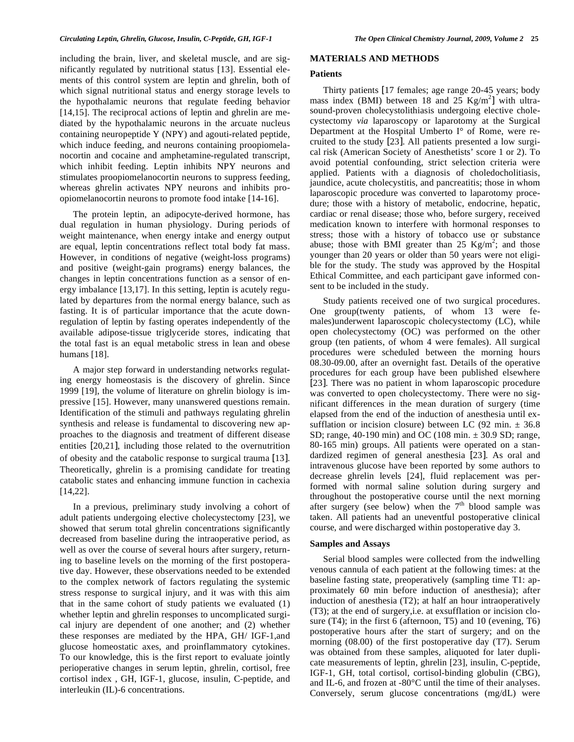including the brain, liver, and skeletal muscle, and are significantly regulated by nutritional status [13]. Essential elements of this control system are leptin and ghrelin, both of which signal nutritional status and energy storage levels to the hypothalamic neurons that regulate feeding behavior [14,15]. The reciprocal actions of leptin and ghrelin are mediated by the hypothalamic neurons in the arcuate nucleus containing neuropeptide Y (NPY) and agouti-related peptide, which induce feeding, and neurons containing proopiomelanocortin and cocaine and amphetamine-regulated transcript, which inhibit feeding. Leptin inhibits NPY neurons and stimulates proopiomelanocortin neurons to suppress feeding, whereas ghrelin activates NPY neurons and inhibits proopiomelanocortin neurons to promote food intake [14-16].

 The protein leptin, an adipocyte-derived hormone, has dual regulation in human physiology. During periods of weight maintenance, when energy intake and energy output are equal, leptin concentrations reflect total body fat mass. However, in conditions of negative (weight-loss programs) and positive (weight-gain programs) energy balances, the changes in leptin concentrations function as a sensor of energy imbalance [13,17]. In this setting, leptin is acutely regulated by departures from the normal energy balance, such as fasting. It is of particular importance that the acute downregulation of leptin by fasting operates independently of the available adipose-tissue triglyceride stores, indicating that the total fast is an equal metabolic stress in lean and obese humans [18].

 A major step forward in understanding networks regulating energy homeostasis is the discovery of ghrelin. Since 1999 [19], the volume of literature on ghrelin biology is impressive [15]. However, many unanswered questions remain. Identification of the stimuli and pathways regulating ghrelin synthesis and release is fundamental to discovering new approaches to the diagnosis and treatment of different disease entities [20,21], including those related to the overnutrition of obesity and the catabolic response to surgical trauma [13]. Theoretically, ghrelin is a promising candidate for treating catabolic states and enhancing immune function in cachexia [14,22].

 In a previous, preliminary study involving a cohort of adult patients undergoing elective cholecystectomy [23], we showed that serum total ghrelin concentrations significantly decreased from baseline during the intraoperative period, as well as over the course of several hours after surgery, returning to baseline levels on the morning of the first postoperative day. However, these observations needed to be extended to the complex network of factors regulating the systemic stress response to surgical injury, and it was with this aim that in the same cohort of study patients we evaluated (1) whether leptin and ghrelin responses to uncomplicated surgical injury are dependent of one another; and (2) whether these responses are mediated by the HPA, GH/ IGF-1,and glucose homeostatic axes, and proinflammatory cytokines. To our knowledge, this is the first report to evaluate jointly perioperative changes in serum leptin, ghrelin, cortisol, free cortisol index , GH, IGF-1, glucose, insulin, C-peptide, and interleukin (IL)-6 concentrations.

# **MATERIALS AND METHODS**

## **Patients**

 Thirty patients [17 females; age range 20-45 years; body mass index (BMI) between 18 and  $25 \text{ Kg/m}^2$  with ultrasound-proven cholecystolithiasis undergoing elective cholecystectomy *via* laparoscopy or laparotomy at the Surgical Department at the Hospital Umberto I° of Rome, were recruited to the study [23]. All patients presented a low surgical risk (American Society of Anesthetists' score 1 or 2). To avoid potential confounding, strict selection criteria were applied. Patients with a diagnosis of choledocholitiasis, jaundice, acute cholecystitis, and pancreatitis; those in whom laparoscopic procedure was converted to laparotomy procedure; those with a history of metabolic, endocrine, hepatic, cardiac or renal disease; those who, before surgery, received medication known to interfere with hormonal responses to stress; those with a history of tobacco use or substance abuse; those with BMI greater than 25  $\text{Kg/m}^2$ ; and those younger than 20 years or older than 50 years were not eligible for the study. The study was approved by the Hospital Ethical Committee, and each participant gave informed consent to be included in the study.

 Study patients received one of two surgical procedures. One group(twenty patients, of whom 13 were females)underwent laparoscopic cholecystectomy (LC), while open cholecystectomy (OC) was performed on the other group (ten patients, of whom 4 were females). All surgical procedures were scheduled between the morning hours 08.30-09.00, after an overnight fast. Details of the operative procedures for each group have been published elsewhere [23]. There was no patient in whom laparoscopic procedure was converted to open cholecystectomy. There were no significant differences in the mean duration of surgery (time elapsed from the end of the induction of anesthesia until exsufflation or incision closure) between LC (92 min.  $\pm$  36.8 SD; range, 40-190 min) and OC (108 min. ± 30.9 SD; range, 80-165 min) groups. All patients were operated on a standardized regimen of general anesthesia [23]. As oral and intravenous glucose have been reported by some authors to decrease ghrelin levels [24], fluid replacement was performed with normal saline solution during surgery and throughout the postoperative course until the next morning after surgery (see below) when the  $7<sup>th</sup>$  blood sample was taken. All patients had an uneventful postoperative clinical course, and were discharged within postoperative day 3.

#### **Samples and Assays**

 Serial blood samples were collected from the indwelling venous cannula of each patient at the following times: at the baseline fasting state, preoperatively (sampling time T1: approximately 60 min before induction of anesthesia); after induction of anesthesia (T2); at half an hour intraoperatively (T3); at the end of surgery,i.e. at exsufflation or incision closure (T4); in the first 6 (afternoon, T5) and 10 (evening, T6) postoperative hours after the start of surgery; and on the morning (08.00) of the first postoperative day (T7). Serum was obtained from these samples, aliquoted for later duplicate measurements of leptin, ghrelin [23], insulin, C-peptide, IGF-1, GH, total cortisol, cortisol-binding globulin (CBG), and IL-6, and frozen at -80°C until the time of their analyses. Conversely, serum glucose concentrations (mg/dL) were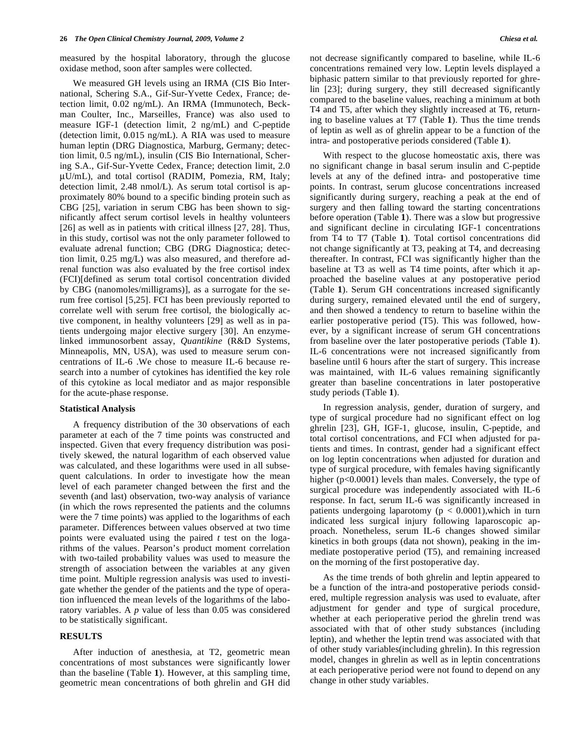measured by the hospital laboratory, through the glucose oxidase method, soon after samples were collected.

 We measured GH levels using an IRMA (CIS Bio International, Schering S.A., Gif-Sur-Yvette Cedex, France; detection limit, 0.02 ng/mL). An IRMA (Immunotech, Beckman Coulter, Inc., Marseilles, France) was also used to measure IGF-1 (detection limit, 2 ng/mL) and C-peptide (detection limit, 0.015 ng/mL). A RIA was used to measure human leptin (DRG Diagnostica, Marburg, Germany; detection limit, 0.5 ng/mL), insulin (CIS Bio International, Schering S.A., Gif-Sur-Yvette Cedex, France; detection limit, 2.0 μU/mL), and total cortisol (RADIM, Pomezia, RM, Italy; detection limit, 2.48 nmol/L). As serum total cortisol is approximately 80% bound to a specific binding protein such as CBG [25], variation in serum CBG has been shown to significantly affect serum cortisol levels in healthy volunteers [26] as well as in patients with critical illness [27, 28]. Thus, in this study, cortisol was not the only parameter followed to evaluate adrenal function; CBG (DRG Diagnostica; detection limit, 0.25 mg/L) was also measured, and therefore adrenal function was also evaluated by the free cortisol index (FCI)[defined as serum total cortisol concentration divided by CBG (nanomoles/milligrams)], as a surrogate for the serum free cortisol [5,25]. FCI has been previously reported to correlate well with serum free cortisol, the biologically active component, in healthy volunteers [29] as well as in patients undergoing major elective surgery [30]. An enzymelinked immunosorbent assay, *Quantikine* (R&D Systems, Minneapolis, MN, USA), was used to measure serum concentrations of IL-6 .We chose to measure IL-6 because research into a number of cytokines has identified the key role of this cytokine as local mediator and as major responsible for the acute-phase response.

#### **Statistical Analysis**

 A frequency distribution of the 30 observations of each parameter at each of the 7 time points was constructed and inspected. Given that every frequency distribution was positively skewed, the natural logarithm of each observed value was calculated, and these logarithms were used in all subsequent calculations. In order to investigate how the mean level of each parameter changed between the first and the seventh (and last) observation, two-way analysis of variance (in which the rows represented the patients and the columns were the 7 time points) was applied to the logarithms of each parameter. Differences between values observed at two time points were evaluated using the paired *t* test on the logarithms of the values. Pearson's product moment correlation with two-tailed probability values was used to measure the strength of association between the variables at any given time point. Multiple regression analysis was used to investigate whether the gender of the patients and the type of operation influenced the mean levels of the logarithms of the laboratory variables. A *p* value of less than 0.05 was considered to be statistically significant.

# **RESULTS**

 After induction of anesthesia, at T2, geometric mean concentrations of most substances were significantly lower than the baseline (Table **1**). However, at this sampling time, geometric mean concentrations of both ghrelin and GH did not decrease significantly compared to baseline, while IL-6 concentrations remained very low. Leptin levels displayed a biphasic pattern similar to that previously reported for ghrelin [23]; during surgery, they still decreased significantly compared to the baseline values, reaching a minimum at both T4 and T5, after which they slightly increased at T6, returning to baseline values at T7 (Table **1**). Thus the time trends of leptin as well as of ghrelin appear to be a function of the intra- and postoperative periods considered (Table **1**).

 With respect to the glucose homeostatic axis, there was no significant change in basal serum insulin and C-peptide levels at any of the defined intra- and postoperative time points. In contrast, serum glucose concentrations increased significantly during surgery, reaching a peak at the end of surgery and then falling toward the starting concentrations before operation (Table **1**). There was a slow but progressive and significant decline in circulating IGF-1 concentrations from T4 to T7 (Table **1**). Total cortisol concentrations did not change significantly at T3, peaking at T4, and decreasing thereafter. In contrast, FCI was significantly higher than the baseline at T3 as well as T4 time points, after which it approached the baseline values at any postoperative period (Table **1**). Serum GH concentrations increased significantly during surgery, remained elevated until the end of surgery, and then showed a tendency to return to baseline within the earlier postoperative period (T5). This was followed, however, by a significant increase of serum GH concentrations from baseline over the later postoperative periods (Table **1**). IL-6 concentrations were not increased significantly from baseline until 6 hours after the start of surgery. This increase was maintained, with IL-6 values remaining significantly greater than baseline concentrations in later postoperative study periods (Table **1**).

 In regression analysis, gender, duration of surgery, and type of surgical procedure had no significant effect on log ghrelin [23], GH, IGF-1, glucose, insulin, C-peptide, and total cortisol concentrations, and FCI when adjusted for patients and times. In contrast, gender had a significant effect on log leptin concentrations when adjusted for duration and type of surgical procedure, with females having significantly higher (p<0.0001) levels than males. Conversely, the type of surgical procedure was independently associated with IL-6 response. In fact, serum IL-6 was significantly increased in patients undergoing laparotomy (p < 0.0001),which in turn indicated less surgical injury following laparoscopic approach. Nonetheless, serum IL-6 changes showed similar kinetics in both groups (data not shown), peaking in the immediate postoperative period (T5), and remaining increased on the morning of the first postoperative day.

 As the time trends of both ghrelin and leptin appeared to be a function of the intra-and postoperative periods considered, multiple regression analysis was used to evaluate, after adjustment for gender and type of surgical procedure, whether at each perioperative period the ghrelin trend was associated with that of other study substances (including leptin), and whether the leptin trend was associated with that of other study variables(including ghrelin). In this regression model, changes in ghrelin as well as in leptin concentrations at each perioperative period were not found to depend on any change in other study variables.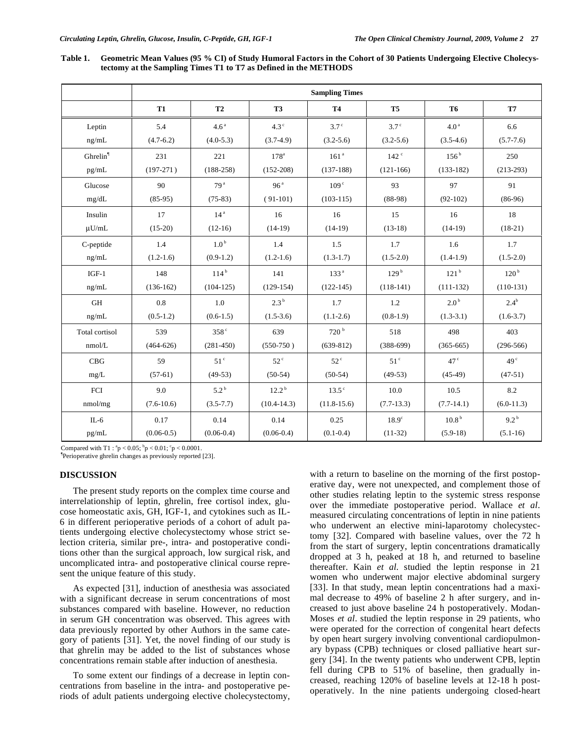| Table 1. Geometric Mean Values (95 % CI) of Study Humoral Factors in the Cohort of 30 Patients Undergoing Elective Cholecys- |
|------------------------------------------------------------------------------------------------------------------------------|
| tectomy at the Sampling Times T1 to T7 as Defined in the METHODS                                                             |

|                      | <b>Sampling Times</b> |                  |                     |                  |                  |                   |                  |  |
|----------------------|-----------------------|------------------|---------------------|------------------|------------------|-------------------|------------------|--|
|                      | <b>T1</b>             | <b>T2</b>        | T <sub>3</sub>      | <b>T4</b>        | T <sub>5</sub>   | <b>T6</b>         | <b>T7</b>        |  |
| Leptin               | 5.4                   | 4.6 <sup>a</sup> | $4.3^\circ$         | 3.7 <sup>c</sup> | 3.7 <sup>c</sup> | $4.0^{\,a}$       | 6.6              |  |
| ng/mL                | $(4.7-6.2)$           | $(4.0-5.3)$      | $(3.7-4.9)$         | $(3.2 - 5.6)$    | $(3.2 - 5.6)$    | $(3.5-4.6)$       | $(5.7 - 7.6)$    |  |
| Ghrelin <sup>1</sup> | 231                   | 221              | 178 <sup>a</sup>    | 161 <sup>a</sup> | 142 <sup>c</sup> | $156^{\rm b}$     | 250              |  |
| pg/mL                | $(197-271)$           | $(188-258)$      | $(152 - 208)$       | $(137-188)$      | $(121-166)$      | $(133-182)$       | $(213-293)$      |  |
| Glucose              | 90                    | 79 <sup>a</sup>  | 96 <sup>a</sup>     | 109 <sup>c</sup> | 93               | 97                | 91               |  |
| mg/dL                | $(85-95)$             | $(75-83)$        | $(91-101)$          | $(103-115)$      | $(88-98)$        | $(92-102)$        | $(86-96)$        |  |
| Insulin              | 17                    | 14 <sup>a</sup>  | 16                  | 16               | 15               | 16                | 18               |  |
| $\mu U/mL$           | $(15-20)$             | $(12-16)$        | $(14-19)$           | $(14-19)$        | $(13-18)$        | $(14-19)$         | $(18-21)$        |  |
| C-peptide            | 1.4                   | 1.0 <sup>b</sup> | 1.4                 | 1.5              | 1.7              | 1.6               | 1.7              |  |
| ng/mL                | $(1.2-1.6)$           | $(0.9-1.2)$      | $(1.2-1.6)$         | $(1.3-1.7)$      | $(1.5-2.0)$      | $(1.4-1.9)$       | $(1.5 - 2.0)$    |  |
| $IGF-1$              | 148                   | 114 <sup>b</sup> | 141                 | 133 <sup>a</sup> | 129 <sup>b</sup> | 121 <sup>b</sup>  | 120 <sup>b</sup> |  |
| ng/mL                | $(136-162)$           | $(104-125)$      | $(129-154)$         | $(122-145)$      | $(118-141)$      | $(111-132)$       | $(110-131)$      |  |
| GH                   | 0.8                   | 1.0              | 2.3 <sup>b</sup>    | 1.7              | 1.2              | 2.0 <sup>b</sup>  | $2.4^{\rm b}$    |  |
| ng/mL                | $(0.5-1.2)$           | $(0.6-1.5)$      | $(1.5-3.6)$         | $(1.1-2.6)$      | $(0.8-1.9)$      | $(1.3-3.1)$       | $(1.6-3.7)$      |  |
| Total cortisol       | 539                   | 358 <sup>c</sup> | 639                 | 720 <sup>b</sup> | 518              | 498               | 403              |  |
| nmol/L               | $(464-626)$           | $(281 - 450)$    | $(550-750)$         | $(639-812)$      | $(388-699)$      | $(365-665)$       | $(296-566)$      |  |
| CBG                  | 59                    | 51 <sup>c</sup>  | $52^{\circ}$        | $52^{\circ}$     | 51 <sup>c</sup>  | 47 <sup>c</sup>   | 49 <sup>c</sup>  |  |
| mg/L                 | $(57-61)$             | $(49-53)$        | $(50-54)$           | $(50-54)$        | $(49-53)$        | $(45-49)$         | $(47-51)$        |  |
| FCI                  | 9.0                   | $5.2^{b}$        | $12.2^{\mathrm{b}}$ | $13.5^{\circ}$   | 10.0             | 10.5              | 8.2              |  |
| nmol/mg              | $(7.6-10.6)$          | $(3.5 - 7.7)$    | $(10.4 - 14.3)$     | $(11.8 - 15.6)$  | $(7.7-13.3)$     | $(7.7-14.1)$      | $(6.0-11.3)$     |  |
| $IL-6$               | 0.17                  | 0.14             | 0.14                | 0.25             | $18.9^\circ$     | 10.8 <sup>b</sup> | $9.2^{b}$        |  |
| pg/mL                | $(0.06-0.5)$          | $(0.06-0.4)$     | $(0.06-0.4)$        | $(0.1 - 0.4)$    | $(11-32)$        | $(5.9-18)$        | $(5.1-16)$       |  |

Compared with  $T1$ :  ${}^{a}p < 0.05$ ;  ${}^{b}p < 0.01$ ;  ${}^{c}p < 0.0001$ .

Perioperative ghrelin changes as previously reported [23].

# **DISCUSSION**

 The present study reports on the complex time course and interrelationship of leptin, ghrelin, free cortisol index, glucose homeostatic axis, GH, IGF-1, and cytokines such as IL-6 in different perioperative periods of a cohort of adult patients undergoing elective cholecystectomy whose strict selection criteria, similar pre-, intra- and postoperative conditions other than the surgical approach, low surgical risk, and uncomplicated intra- and postoperative clinical course represent the unique feature of this study.

 As expected [31], induction of anesthesia was associated with a significant decrease in serum concentrations of most substances compared with baseline. However, no reduction in serum GH concentration was observed. This agrees with data previously reported by other Authors in the same category of patients [31]. Yet, the novel finding of our study is that ghrelin may be added to the list of substances whose concentrations remain stable after induction of anesthesia.

 To some extent our findings of a decrease in leptin concentrations from baseline in the intra- and postoperative periods of adult patients undergoing elective cholecystectomy, with a return to baseline on the morning of the first postoperative day, were not unexpected, and complement those of other studies relating leptin to the systemic stress response over the immediate postoperative period. Wallace *et al*. measured circulating concentrations of leptin in nine patients who underwent an elective mini-laparotomy cholecystectomy [32]. Compared with baseline values, over the 72 h from the start of surgery, leptin concentrations dramatically dropped at 3 h, peaked at 18 h, and returned to baseline thereafter. Kain *et al*. studied the leptin response in 21 women who underwent major elective abdominal surgery [33]. In that study, mean leptin concentrations had a maximal decrease to 49% of baseline 2 h after surgery, and increased to just above baseline 24 h postoperatively. Modan-Moses *et al*. studied the leptin response in 29 patients, who were operated for the correction of congenital heart defects by open heart surgery involving conventional cardiopulmonary bypass (CPB) techniques or closed palliative heart surgery [34]. In the twenty patients who underwent CPB, leptin fell during CPB to 51% of baseline, then gradually increased, reaching 120% of baseline levels at 12-18 h postoperatively. In the nine patients undergoing closed-heart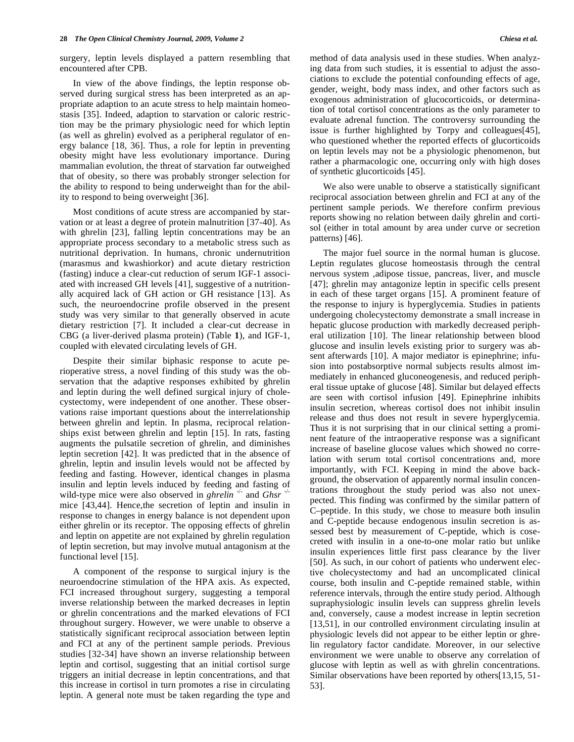surgery, leptin levels displayed a pattern resembling that encountered after CPB.

 In view of the above findings, the leptin response observed during surgical stress has been interpreted as an appropriate adaption to an acute stress to help maintain homeostasis [35]. Indeed, adaption to starvation or caloric restriction may be the primary physiologic need for which leptin (as well as ghrelin) evolved as a peripheral regulator of energy balance [18, 36]. Thus, a role for leptin in preventing obesity might have less evolutionary importance. During mammalian evolution, the threat of starvation far outweighed that of obesity, so there was probably stronger selection for the ability to respond to being underweight than for the ability to respond to being overweight [36].

 Most conditions of acute stress are accompanied by starvation or at least a degree of protein malnutrition [37-40]. As with ghrelin [23], falling leptin concentrations may be an appropriate process secondary to a metabolic stress such as nutritional deprivation. In humans, chronic undernutrition (marasmus and kwashiorkor) and acute dietary restriction (fasting) induce a clear-cut reduction of serum IGF-1 associated with increased GH levels [41], suggestive of a nutritionally acquired lack of GH action or GH resistance [13]. As such, the neuroendocrine profile observed in the present study was very similar to that generally observed in acute dietary restriction [7]. It included a clear-cut decrease in CBG (a liver-derived plasma protein) (Table **1**), and IGF-1, coupled with elevated circulating levels of GH.

 Despite their similar biphasic response to acute perioperative stress, a novel finding of this study was the observation that the adaptive responses exhibited by ghrelin and leptin during the well defined surgical injury of cholecystectomy, were independent of one another. These observations raise important questions about the interrelationship between ghrelin and leptin. In plasma, reciprocal relationships exist between ghrelin and leptin [15]. In rats, fasting augments the pulsatile secretion of ghrelin, and diminishes leptin secretion [42]. It was predicted that in the absence of ghrelin, leptin and insulin levels would not be affected by feeding and fasting. However, identical changes in plasma insulin and leptin levels induced by feeding and fasting of wild-type mice were also observed in *ghrelin*  $\rightarrow$  and *Ghsr* mice [43,44]. Hence,the secretion of leptin and insulin in response to changes in energy balance is not dependent upon either ghrelin or its receptor. The opposing effects of ghrelin and leptin on appetite are not explained by ghrelin regulation of leptin secretion, but may involve mutual antagonism at the functional level [15].

 A component of the response to surgical injury is the neuroendocrine stimulation of the HPA axis. As expected, FCI increased throughout surgery, suggesting a temporal inverse relationship between the marked decreases in leptin or ghrelin concentrations and the marked elevations of FCI throughout surgery. However, we were unable to observe a statistically significant reciprocal association between leptin and FCI at any of the pertinent sample periods. Previous studies [32-34] have shown an inverse relationship between leptin and cortisol, suggesting that an initial cortisol surge triggers an initial decrease in leptin concentrations, and that this increase in cortisol in turn promotes a rise in circulating leptin. A general note must be taken regarding the type and method of data analysis used in these studies. When analyzing data from such studies, it is essential to adjust the associations to exclude the potential confounding effects of age, gender, weight, body mass index, and other factors such as exogenous administration of glucocorticoids, or determination of total cortisol concentrations as the only parameter to evaluate adrenal function. The controversy surrounding the issue is further highlighted by Torpy and colleagues[45], who questioned whether the reported effects of glucorticoids on leptin levels may not be a physiologic phenomenon, but rather a pharmacologic one, occurring only with high doses of synthetic glucorticoids [45].

 We also were unable to observe a statistically significant reciprocal association between ghrelin and FCI at any of the pertinent sample periods. We therefore confirm previous reports showing no relation between daily ghrelin and cortisol (either in total amount by area under curve or secretion patterns) [46].

 The major fuel source in the normal human is glucose. Leptin regulates glucose homeostasis through the central nervous system ,adipose tissue, pancreas, liver, and muscle [47]; ghrelin may antagonize leptin in specific cells present in each of these target organs [15]. A prominent feature of the response to injury is hyperglycemia. Studies in patients undergoing cholecystectomy demonstrate a small increase in hepatic glucose production with markedly decreased peripheral utilization [10]. The linear relationship between blood glucose and insulin levels existing prior to surgery was absent afterwards [10]. A major mediator is epinephrine; infusion into postabsorptive normal subjects results almost immediately in enhanced gluconeogenesis, and reduced peripheral tissue uptake of glucose [48]. Similar but delayed effects are seen with cortisol infusion [49]. Epinephrine inhibits insulin secretion, whereas cortisol does not inhibit insulin release and thus does not result in severe hyperglycemia. Thus it is not surprising that in our clinical setting a prominent feature of the intraoperative response was a significant increase of baseline glucose values which showed no correlation with serum total cortisol concentrations and, more importantly, with FCI. Keeping in mind the above background, the observation of apparently normal insulin concentrations throughout the study period was also not unexpected. This finding was confirmed by the similar pattern of C–peptide. In this study, we chose to measure both insulin and C-peptide because endogenous insulin secretion is assessed best by measurement of C-peptide, which is cosecreted with insulin in a one-to-one molar ratio but unlike insulin experiences little first pass clearance by the liver [50]. As such, in our cohort of patients who underwent elective cholecystectomy and had an uncomplicated clinical course, both insulin and C-peptide remained stable, within reference intervals, through the entire study period. Although supraphysiologic insulin levels can suppress ghrelin levels and, conversely, cause a modest increase in leptin secretion [13,51], in our controlled environment circulating insulin at physiologic levels did not appear to be either leptin or ghrelin regulatory factor candidate. Moreover, in our selective environment we were unable to observe any correlation of glucose with leptin as well as with ghrelin concentrations. Similar observations have been reported by others[13,15, 51- 53].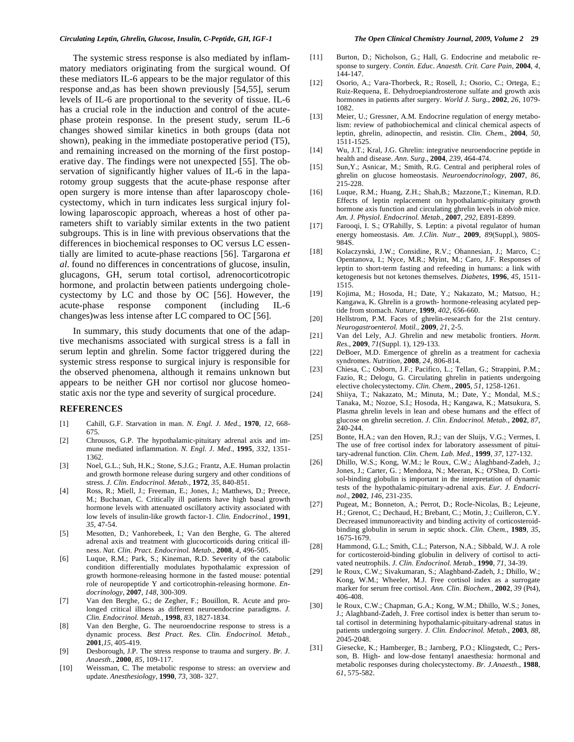The systemic stress response is also mediated by inflammatory mediators originating from the surgical wound. Of these mediators IL-6 appears to be the major regulator of this response and,as has been shown previously [54,55], serum levels of IL-6 are proportional to the severity of tissue. IL-6 has a crucial role in the induction and control of the acutephase protein response. In the present study, serum IL-6 changes showed similar kinetics in both groups (data not shown), peaking in the immediate postoperative period (T5), and remaining increased on the morning of the first postoperative day. The findings were not unexpected [55]. The observation of significantly higher values of IL-6 in the laparotomy group suggests that the acute-phase response after open surgery is more intense than after laparoscopy cholecystectomy, which in turn indicates less surgical injury following laparoscopic approach, whereas a host of other parameters shift to variably similar extents in the two patient subgroups. This is in line with previous observations that the differences in biochemical responses to OC versus LC essentially are limited to acute-phase reactions [56]. Targarona *et al*. found no differences in concentrations of glucose, insulin, glucagons, GH, serum total cortisol, adrenocorticotropic hormone, and prolactin between patients undergoing cholecystectomy by LC and those by OC [56]. However, the acute-phase response component (including IL-6 changes)was less intense after LC compared to OC [56].

 In summary, this study documents that one of the adaptive mechanisms associated with surgical stress is a fall in serum leptin and ghrelin. Some factor triggered during the systemic stress response to surgical injury is responsible for the observed phenomena, although it remains unknown but appears to be neither GH nor cortisol nor glucose homeostatic axis nor the type and severity of surgical procedure.

## **REFERENCES**

- [1] Cahill, G.F. Starvation in man. *N. Engl. J. Med.*, **1970**, *12*, 668- 675.
- [2] Chrousos, G.P. The hypothalamic-pituitary adrenal axis and immune mediated inflammation. *N. Engl. J. Med.*, **1995**, *332*, 1351- 1362.
- [3] Noel, G.L.; Suh, H.K.; Stone, S.J.G.; Frantz, A.E. Human prolactin and growth hormone release during surgery and other conditions of stress. *J. Clin. Endocrinol. Metab.*, **1972**, *35*, 840-851.
- [4] Ross, R.; Miell, J.; Freeman, E.; Jones, J.; Matthews, D.; Preece, M.; Buchanan, C. Critically ill patients have high basal growth hormone levels with attenuated oscillatory activity associated with low levels of insulin-like growth factor-1. *Clin. Endocrinol.*, **1991**, *35*, 47-54.
- [5] Mesotten, D.; Vanhorebeek, I.; Van den Berghe, G. The altered adrenal axis and treatment with glucocorticoids during critical illness. *Nat. Clin. Pract. Endocrinol. Metab.*, **2008***, 4*, 496-505.
- [6] Luque, R.M.; Park, S.; Kineman, R.D. Severity of the catabolic condition differentially modulates hypothalamic expression of growth hormone-releasing hormone in the fasted mouse: potential role of neuropeptide Y and corticotrophin-releasing hormone. *Endocrinology*, **2007**, *148*, 300-309.
- [7] Van den Berghe, G.; de Zegher, F.; Bouillon, R. Acute and prolonged critical illness as different neuroendocrine paradigms. *J. Clin. Endocrinol. Metab.*, **1998**, *83*, 1827-1834.
- [8] Van den Berghe, G. The neuroendocrine response to stress is a dynamic process. *Best Pract. Res. Clin. Endocrinol. Metab.*, **2001**,*15*, 405-419.
- [9] Desborough, J.P. The stress response to trauma and surgery. *Br. J. Anaesth.*, **2000**, *85*, 109-117.
- [10] Weissman, C. The metabolic response to stress: an overview and update. *Anesthesiology*, **1990**, *73*, 308- 327.
- [11] Burton, D.; Nicholson, G.; Hall, G. Endocrine and metabolic response to surgery. *Contin. Edu*c. *Anaesth. Crit. Care Pain*, **2004**, *4*, 144-147.
- [12] Osorio, A.; Vara-Thorbeck, R.; Rosell, J.; Osorio, C.; Ortega, E.; Ruiz-Requena, E. Dehydroepiandrosterone sulfate and growth axis hormones in patients after surgery. *World J. Surg.*, **2002**, *26*, 1079- 1082.
- [13] Meier, U.; Gressner, A.M. Endocrine regulation of energy metabolism: review of pathobiochemical and clinical chemical aspects of leptin, ghrelin, adinopectin, and resistin. *Clin. Chem.*, **2004**, *50*, 1511-1525.
- [14] Wu, J.T.; Kral, J.G. Ghrelin: integrative neuroendocrine peptide in health and disease. *Ann. Surg*., **2004**, *239*, 464-474.
- [15] Sun,Y.; Asnicar, M.; Smith, R.G. Central and peripheral roles of ghrelin on glucose homeostasis. *Neuroendocrinology*, **2007**, *86*, 215-228.
- [16] Luque, R.M.; Huang, Z.H.; Shah,B.; Mazzone,T.; Kineman, R.D. Effects of leptin replacement on hypothalamic-pituitary growth hormone axis function and circulating ghrelin levels in *ob/ob* mice. *Am. J. Physiol. Endocrinol. Metab.*, **2007**, *292*, E891-E899.
- [17] Farooqi, I. S.; O'Rahilly, S. Leptin: a pivotal regulator of human energy homeostasis. *Am. J.Clin. Nutr*., **2009**, *89*(Suppl.), 980S-984S.
- [18] Kolaczynski, J.W.; Considine, R.V.; Ohannesian, J.; Marco, C.; Opentanova, I.; Nyce, M.R.; Myint, M.; Caro, J.F. Responses of leptin to short-term fasting and refeeding in humans: a link with ketogenesis but not ketones themselves. *Diabetes*, **1996**, *45*, 1511- 1515.
- [19] Kojima, M.; Hosoda, H.; Date, Y.; Nakazato, M.; Matsuo, H.; Kangawa, K. Ghrelin is a growth- hormone-releasing acylated peptide from stomach. *Nature*, **1999**, *402*, 656-660.
- [20] Hellstrom, P.M. Faces of ghrelin-research for the 21st century. *Neurogastroenterol. Motil.,* **2009**, *21*, 2-5.
- [21] Van del Lely, A.J. Ghrelin and new metabolic frontiers. *Horm. Res.,* **2009**, *71*(Suppl. 1), 129-133.
- [22] DeBoer, M.D. Emergence of ghrelin as a treatment for cachexia syndromes. *Nutrition*, **2008**, *24*, 806-814.
- [23] Chiesa, C.; Osborn, J.F.; Pacifico, L.; Tellan, G.; Strappini, P.M.; Fazio, R.; Delogu, G. Circulating ghrelin in patients undergoing elective cholecystectomy. *Clin. Chem.*, **2005**, *51*, 1258-1261.
- [24] Shiiya, T.; Nakazato, M.; Minuta, M.; Date, Y.; Mondal, M.S.; Tanaka, M.; Nozoe, S.I.; Hosoda, H.; Kangawa, K.; Matsukura, S. Plasma ghrelin levels in lean and obese humans and the effect of glucose on ghrelin secretion. *J. Clin. Endocrinol. Metab.*, **2002**, *87*, 240-244.
- [25] Bonte, H.A.; van den Hoven, R.J.; van der Sluijs, V.G.; Vermes, I. The use of free cortisol index for laboratory assessment of pituitary-adrenal function. *Clin. Chem. Lab. Med.*, **1999**, *37*, 127-132.
- [26] Dhillo, W.S.; Kong, W.M.; le Roux, C.W.; Alaghband-Zadeh, J.; Jones, J.; Carter, G. ; Mendoza, N.; Meeran, K.; O'Shea, D. Cortisol-binding globulin is important in the interpretation of dynamic tests of the hypothalamic-pituitary-adrenal axis. *Eur. J. Endocrinol*., **2002**, *146*, 231-235.
- [27] Pugeat, M.; Bonneton, A.; Perrot, D.; Rocle-Nicolas, B.; Lejeune, H.; Grenot, C.; Dechaud, H.; Brebant, C.; Motin, J.; Cuilleron, C.Y. Decreased immunoreactivity and binding activity of corticosteroidbinding globulin in serum in septic shock. *Clin. Chem.*, **1989**, *35*, 1675-1679.
- [28] Hammond, G.L.; Smith, C.L.; Paterson, N.A.; Sibbald, W.J. A role for corticosteroid-binding globulin in delivery of cortisol to activated neutrophils. *J. Clin. Endocrinol. Metab.*, **1990**, *71*, 34-39.
- [29] le Roux, C.W.; Sivakumaran, S.; Alaghband-Zadeh, J.; Dhillo, W.; Kong, W.M.; Wheeler, M.J. Free cortisol index as a surrogate marker for serum free cortisol. *Ann. Clin. Biochem.*, **2002**, *39* (Pt4), 406-408.
- [30] le Roux, C.W.; Chapman, G.A.; Kong, W.M.; Dhillo, W.S.; Jones, J.; Alaghband-Zadeh, J. Free cortisol index is better than serum total cortisol in determining hypothalamic-pituitary-adrenal status in patients undergoing surgery. *J. Clin. Endocrinol. Metab.*, **2003**, *88*, 2045-2048.
- [31] Giesecke, K.; Hamberger, B.; Jarnberg, P.O.; Klingstedt, C.; Persson, B. High- and low-dose fentanyl anaesthesia: hormonal and metabolic responses during cholecystectomy. *Br. J.Anaesth.*, **1988**, *61*, 575-582.